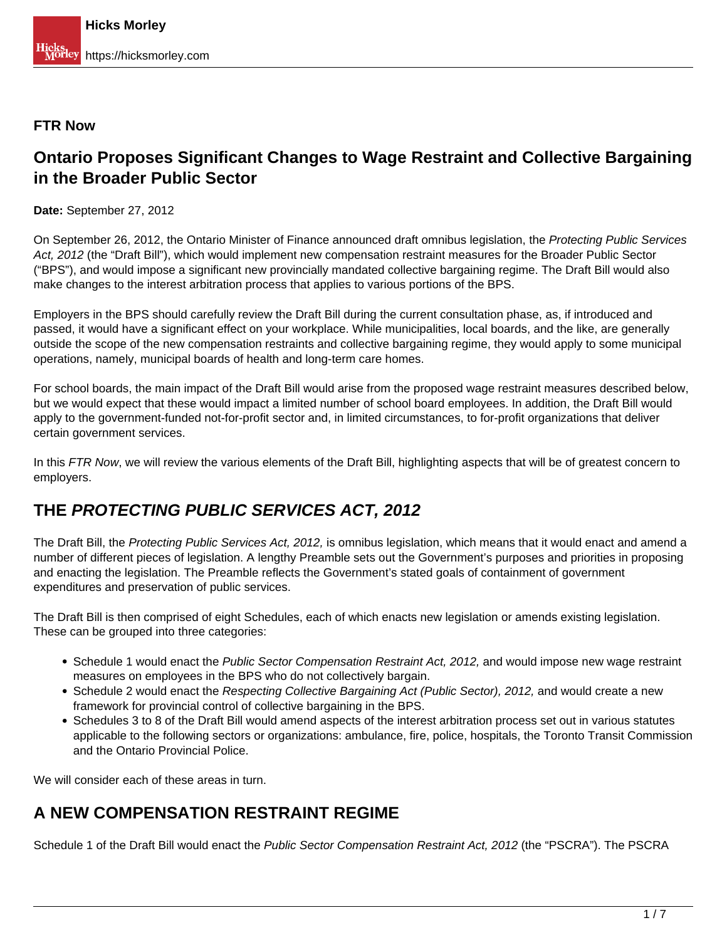#### **FTR Now**

## **Ontario Proposes Significant Changes to Wage Restraint and Collective Bargaining in the Broader Public Sector**

**Date:** September 27, 2012

On September 26, 2012, the Ontario Minister of Finance announced draft omnibus legislation, the Protecting Public Services Act, 2012 (the "Draft Bill"), which would implement new compensation restraint measures for the Broader Public Sector ("BPS"), and would impose a significant new provincially mandated collective bargaining regime. The Draft Bill would also make changes to the interest arbitration process that applies to various portions of the BPS.

Employers in the BPS should carefully review the Draft Bill during the current consultation phase, as, if introduced and passed, it would have a significant effect on your workplace. While municipalities, local boards, and the like, are generally outside the scope of the new compensation restraints and collective bargaining regime, they would apply to some municipal operations, namely, municipal boards of health and long-term care homes.

For school boards, the main impact of the Draft Bill would arise from the proposed wage restraint measures described below, but we would expect that these would impact a limited number of school board employees. In addition, the Draft Bill would apply to the government-funded not-for-profit sector and, in limited circumstances, to for-profit organizations that deliver certain government services.

In this FTR Now, we will review the various elements of the Draft Bill, highlighting aspects that will be of greatest concern to employers.

## **THE PROTECTING PUBLIC SERVICES ACT, 2012**

The Draft Bill, the Protecting Public Services Act, 2012, is omnibus legislation, which means that it would enact and amend a number of different pieces of legislation. A lengthy Preamble sets out the Government's purposes and priorities in proposing and enacting the legislation. The Preamble reflects the Government's stated goals of containment of government expenditures and preservation of public services.

The Draft Bill is then comprised of eight Schedules, each of which enacts new legislation or amends existing legislation. These can be grouped into three categories:

- Schedule 1 would enact the Public Sector Compensation Restraint Act, 2012, and would impose new wage restraint measures on employees in the BPS who do not collectively bargain.
- Schedule 2 would enact the Respecting Collective Bargaining Act (Public Sector), 2012, and would create a new framework for provincial control of collective bargaining in the BPS.
- Schedules 3 to 8 of the Draft Bill would amend aspects of the interest arbitration process set out in various statutes applicable to the following sectors or organizations: ambulance, fire, police, hospitals, the Toronto Transit Commission and the Ontario Provincial Police.

We will consider each of these areas in turn.

## **A NEW COMPENSATION RESTRAINT REGIME**

Schedule 1 of the Draft Bill would enact the Public Sector Compensation Restraint Act, 2012 (the "PSCRA"). The PSCRA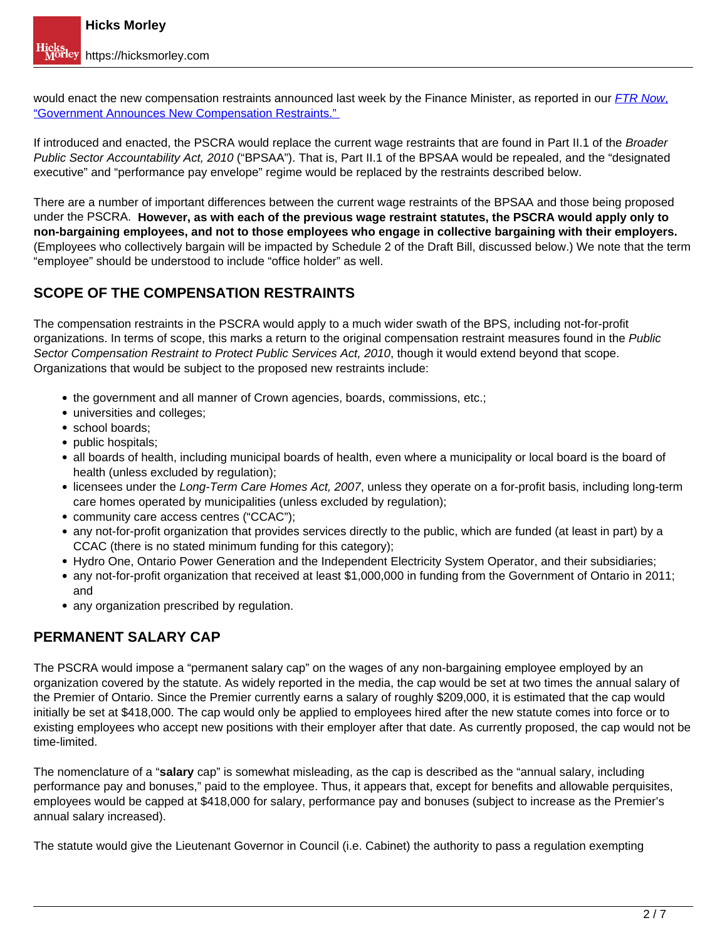would enact the new compensation restraints announced last week by the Finance Minister[,](https://hicksmorley.com/2012/09/20/government-announces-new-compensation-restraints/) as reported in our **[FTR Now](https://hicksmorley.com/2012/09/20/government-announces-new-compensation-restraints/)**, ["Government Announces New Compensation Restraints."](https://hicksmorley.com/2012/09/20/government-announces-new-compensation-restraints/) 

If introduced and enacted, the PSCRA would replace the current wage restraints that are found in Part II.1 of the Broader Public Sector Accountability Act, 2010 ("BPSAA"). That is, Part II.1 of the BPSAA would be repealed, and the "designated executive" and "performance pay envelope" regime would be replaced by the restraints described below.

There are a number of important differences between the current wage restraints of the BPSAA and those being proposed under the PSCRA. **However, as with each of the previous wage restraint statutes, the PSCRA would apply only to non-bargaining employees, and not to those employees who engage in collective bargaining with their employers.** (Employees who collectively bargain will be impacted by Schedule 2 of the Draft Bill, discussed below.) We note that the term "employee" should be understood to include "office holder" as well.

## **SCOPE OF THE COMPENSATION RESTRAINTS**

The compensation restraints in the PSCRA would apply to a much wider swath of the BPS, including not-for-profit organizations. In terms of scope, this marks a return to the original compensation restraint measures found in the Public Sector Compensation Restraint to Protect Public Services Act, 2010, though it would extend beyond that scope. Organizations that would be subject to the proposed new restraints include:

- the government and all manner of Crown agencies, boards, commissions, etc.;
- universities and colleges;
- school boards:
- public hospitals:
- all boards of health, including municipal boards of health, even where a municipality or local board is the board of health (unless excluded by regulation);
- licensees under the Long-Term Care Homes Act, 2007, unless they operate on a for-profit basis, including long-term care homes operated by municipalities (unless excluded by regulation);
- community care access centres ("CCAC");
- any not-for-profit organization that provides services directly to the public, which are funded (at least in part) by a CCAC (there is no stated minimum funding for this category);
- Hydro One, Ontario Power Generation and the Independent Electricity System Operator, and their subsidiaries;
- any not-for-profit organization that received at least \$1,000,000 in funding from the Government of Ontario in 2011; and
- any organization prescribed by regulation.

### **PERMANENT SALARY CAP**

The PSCRA would impose a "permanent salary cap" on the wages of any non-bargaining employee employed by an organization covered by the statute. As widely reported in the media, the cap would be set at two times the annual salary of the Premier of Ontario. Since the Premier currently earns a salary of roughly \$209,000, it is estimated that the cap would initially be set at \$418,000. The cap would only be applied to employees hired after the new statute comes into force or to existing employees who accept new positions with their employer after that date. As currently proposed, the cap would not be time-limited.

The nomenclature of a "**salary** cap" is somewhat misleading, as the cap is described as the "annual salary, including performance pay and bonuses," paid to the employee. Thus, it appears that, except for benefits and allowable perquisites, employees would be capped at \$418,000 for salary, performance pay and bonuses (subject to increase as the Premier's annual salary increased).

The statute would give the Lieutenant Governor in Council (i.e. Cabinet) the authority to pass a regulation exempting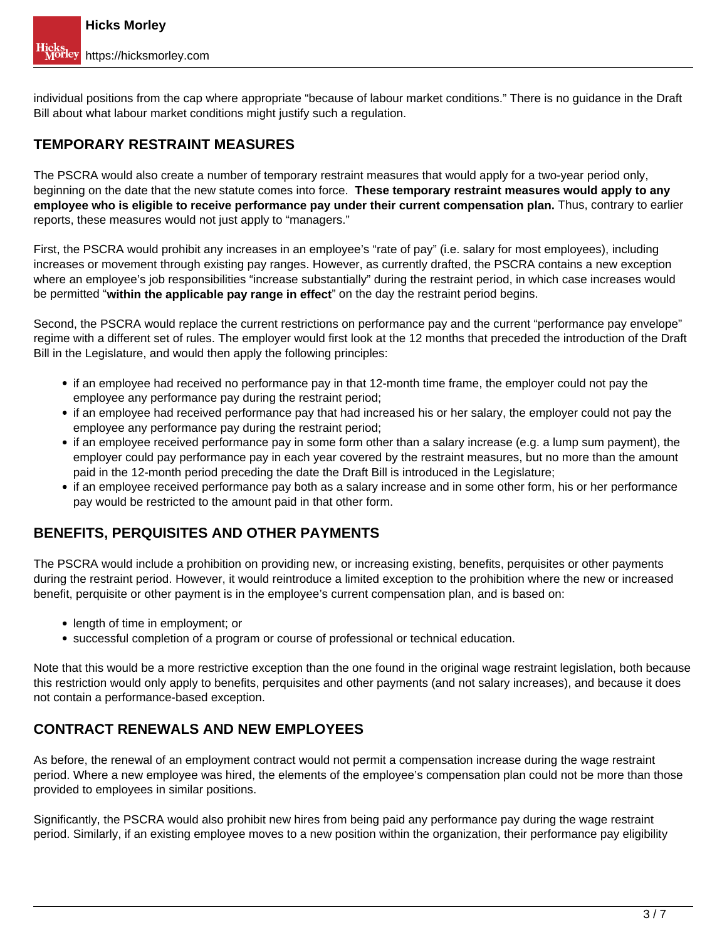individual positions from the cap where appropriate "because of labour market conditions." There is no guidance in the Draft Bill about what labour market conditions might justify such a regulation.

#### **TEMPORARY RESTRAINT MEASURES**

The PSCRA would also create a number of temporary restraint measures that would apply for a two-year period only, beginning on the date that the new statute comes into force. **These temporary restraint measures would apply to any employee who is eligible to receive performance pay under their current compensation plan.** Thus, contrary to earlier reports, these measures would not just apply to "managers."

First, the PSCRA would prohibit any increases in an employee's "rate of pay" (i.e. salary for most employees), including increases or movement through existing pay ranges. However, as currently drafted, the PSCRA contains a new exception where an employee's job responsibilities "increase substantially" during the restraint period, in which case increases would be permitted "**within the applicable pay range in effect**" on the day the restraint period begins.

Second, the PSCRA would replace the current restrictions on performance pay and the current "performance pay envelope" regime with a different set of rules. The employer would first look at the 12 months that preceded the introduction of the Draft Bill in the Legislature, and would then apply the following principles:

- if an employee had received no performance pay in that 12-month time frame, the employer could not pay the employee any performance pay during the restraint period;
- if an employee had received performance pay that had increased his or her salary, the employer could not pay the employee any performance pay during the restraint period;
- if an employee received performance pay in some form other than a salary increase (e.g. a lump sum payment), the employer could pay performance pay in each year covered by the restraint measures, but no more than the amount paid in the 12-month period preceding the date the Draft Bill is introduced in the Legislature;
- if an employee received performance pay both as a salary increase and in some other form, his or her performance pay would be restricted to the amount paid in that other form.

### **BENEFITS, PERQUISITES AND OTHER PAYMENTS**

The PSCRA would include a prohibition on providing new, or increasing existing, benefits, perquisites or other payments during the restraint period. However, it would reintroduce a limited exception to the prohibition where the new or increased benefit, perquisite or other payment is in the employee's current compensation plan, and is based on:

- length of time in employment; or
- successful completion of a program or course of professional or technical education.

Note that this would be a more restrictive exception than the one found in the original wage restraint legislation, both because this restriction would only apply to benefits, perquisites and other payments (and not salary increases), and because it does not contain a performance-based exception.

### **CONTRACT RENEWALS AND NEW EMPLOYEES**

As before, the renewal of an employment contract would not permit a compensation increase during the wage restraint period. Where a new employee was hired, the elements of the employee's compensation plan could not be more than those provided to employees in similar positions.

Significantly, the PSCRA would also prohibit new hires from being paid any performance pay during the wage restraint period. Similarly, if an existing employee moves to a new position within the organization, their performance pay eligibility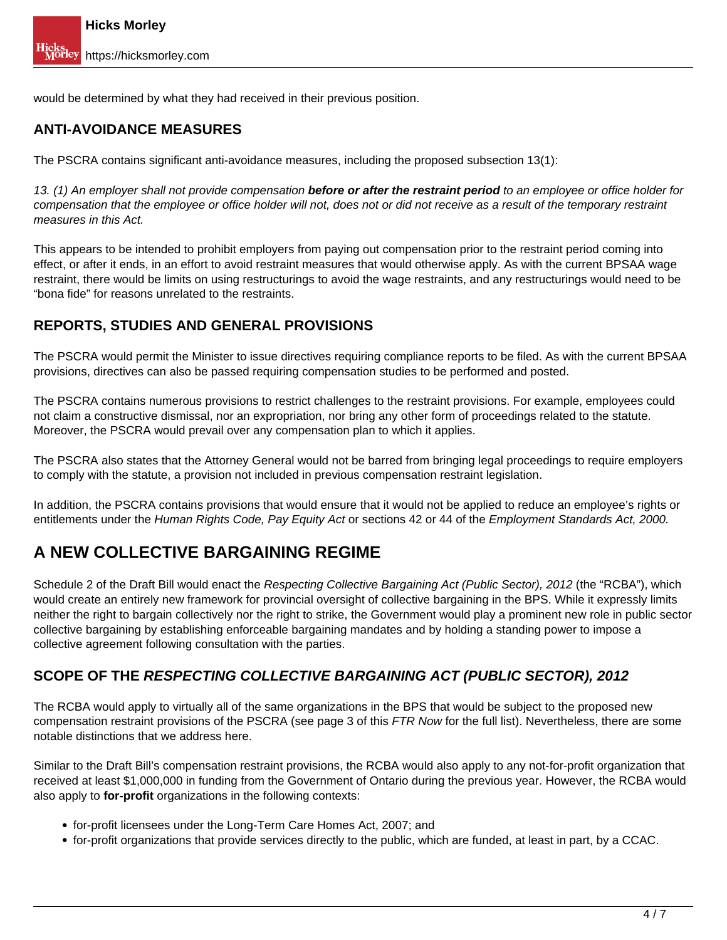would be determined by what they had received in their previous position.

## **ANTI-AVOIDANCE MEASURES**

The PSCRA contains significant anti-avoidance measures, including the proposed subsection 13(1):

13. (1) An employer shall not provide compensation **before or after the restraint period** to an employee or office holder for compensation that the employee or office holder will not, does not or did not receive as a result of the temporary restraint measures in this Act.

This appears to be intended to prohibit employers from paying out compensation prior to the restraint period coming into effect, or after it ends, in an effort to avoid restraint measures that would otherwise apply. As with the current BPSAA wage restraint, there would be limits on using restructurings to avoid the wage restraints, and any restructurings would need to be "bona fide" for reasons unrelated to the restraints.

### **REPORTS, STUDIES AND GENERAL PROVISIONS**

The PSCRA would permit the Minister to issue directives requiring compliance reports to be filed. As with the current BPSAA provisions, directives can also be passed requiring compensation studies to be performed and posted.

The PSCRA contains numerous provisions to restrict challenges to the restraint provisions. For example, employees could not claim a constructive dismissal, nor an expropriation, nor bring any other form of proceedings related to the statute. Moreover, the PSCRA would prevail over any compensation plan to which it applies.

The PSCRA also states that the Attorney General would not be barred from bringing legal proceedings to require employers to comply with the statute, a provision not included in previous compensation restraint legislation.

In addition, the PSCRA contains provisions that would ensure that it would not be applied to reduce an employee's rights or entitlements under the Human Rights Code, Pay Equity Act or sections 42 or 44 of the Employment Standards Act, 2000.

# **A NEW COLLECTIVE BARGAINING REGIME**

Schedule 2 of the Draft Bill would enact the Respecting Collective Bargaining Act (Public Sector), 2012 (the "RCBA"), which would create an entirely new framework for provincial oversight of collective bargaining in the BPS. While it expressly limits neither the right to bargain collectively nor the right to strike, the Government would play a prominent new role in public sector collective bargaining by establishing enforceable bargaining mandates and by holding a standing power to impose a collective agreement following consultation with the parties.

#### **SCOPE OF THE RESPECTING COLLECTIVE BARGAINING ACT (PUBLIC SECTOR), 2012**

The RCBA would apply to virtually all of the same organizations in the BPS that would be subject to the proposed new compensation restraint provisions of the PSCRA (see page 3 of this FTR Now for the full list). Nevertheless, there are some notable distinctions that we address here.

Similar to the Draft Bill's compensation restraint provisions, the RCBA would also apply to any not-for-profit organization that received at least \$1,000,000 in funding from the Government of Ontario during the previous year. However, the RCBA would also apply to **for-profit** organizations in the following contexts:

- for-profit licensees under the Long-Term Care Homes Act, 2007; and
- for-profit organizations that provide services directly to the public, which are funded, at least in part, by a CCAC.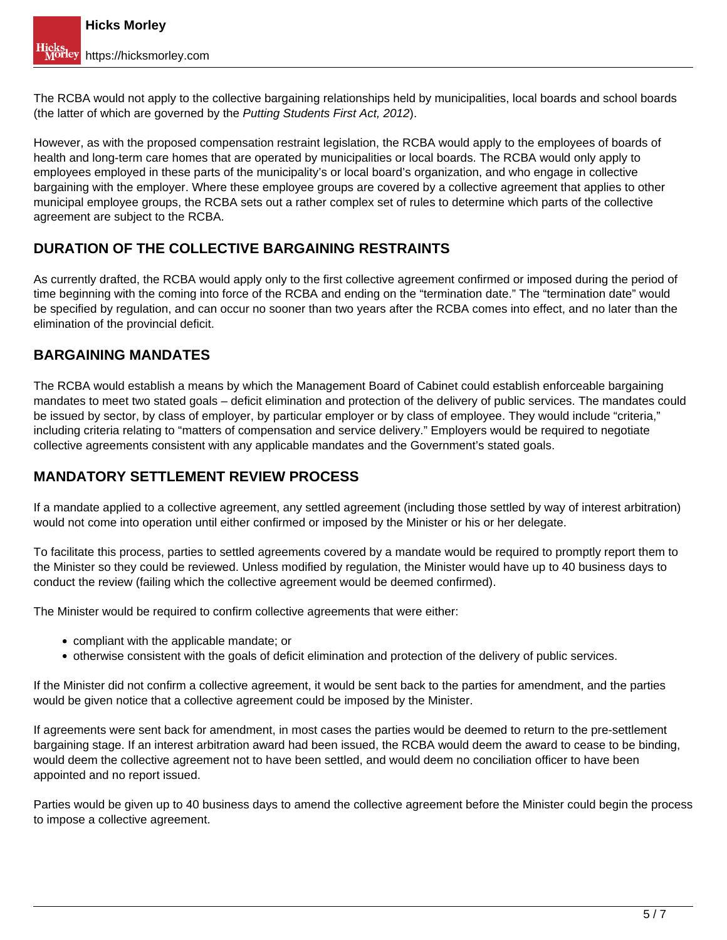The RCBA would not apply to the collective bargaining relationships held by municipalities, local boards and school boards (the latter of which are governed by the Putting Students First Act, 2012).

However, as with the proposed compensation restraint legislation, the RCBA would apply to the employees of boards of health and long-term care homes that are operated by municipalities or local boards. The RCBA would only apply to employees employed in these parts of the municipality's or local board's organization, and who engage in collective bargaining with the employer. Where these employee groups are covered by a collective agreement that applies to other municipal employee groups, the RCBA sets out a rather complex set of rules to determine which parts of the collective agreement are subject to the RCBA.

### **DURATION OF THE COLLECTIVE BARGAINING RESTRAINTS**

As currently drafted, the RCBA would apply only to the first collective agreement confirmed or imposed during the period of time beginning with the coming into force of the RCBA and ending on the "termination date." The "termination date" would be specified by regulation, and can occur no sooner than two years after the RCBA comes into effect, and no later than the elimination of the provincial deficit.

#### **BARGAINING MANDATES**

The RCBA would establish a means by which the Management Board of Cabinet could establish enforceable bargaining mandates to meet two stated goals – deficit elimination and protection of the delivery of public services. The mandates could be issued by sector, by class of employer, by particular employer or by class of employee. They would include "criteria," including criteria relating to "matters of compensation and service delivery." Employers would be required to negotiate collective agreements consistent with any applicable mandates and the Government's stated goals.

#### **MANDATORY SETTLEMENT REVIEW PROCESS**

If a mandate applied to a collective agreement, any settled agreement (including those settled by way of interest arbitration) would not come into operation until either confirmed or imposed by the Minister or his or her delegate.

To facilitate this process, parties to settled agreements covered by a mandate would be required to promptly report them to the Minister so they could be reviewed. Unless modified by regulation, the Minister would have up to 40 business days to conduct the review (failing which the collective agreement would be deemed confirmed).

The Minister would be required to confirm collective agreements that were either:

- compliant with the applicable mandate; or
- otherwise consistent with the goals of deficit elimination and protection of the delivery of public services.

If the Minister did not confirm a collective agreement, it would be sent back to the parties for amendment, and the parties would be given notice that a collective agreement could be imposed by the Minister.

If agreements were sent back for amendment, in most cases the parties would be deemed to return to the pre-settlement bargaining stage. If an interest arbitration award had been issued, the RCBA would deem the award to cease to be binding, would deem the collective agreement not to have been settled, and would deem no conciliation officer to have been appointed and no report issued.

Parties would be given up to 40 business days to amend the collective agreement before the Minister could begin the process to impose a collective agreement.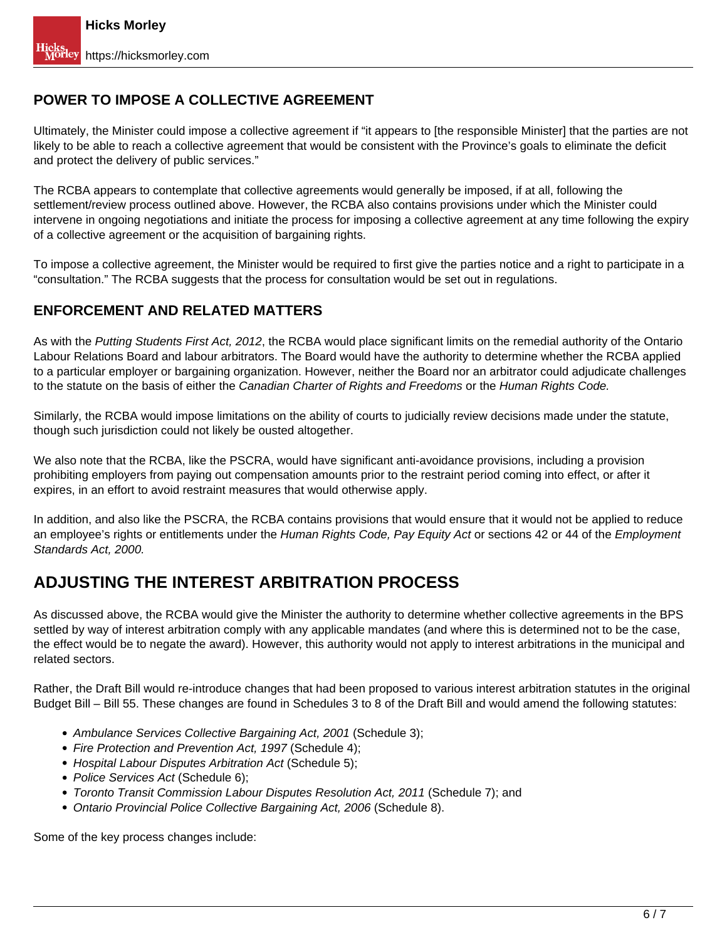## **POWER TO IMPOSE A COLLECTIVE AGREEMENT**

Ultimately, the Minister could impose a collective agreement if "it appears to [the responsible Minister] that the parties are not likely to be able to reach a collective agreement that would be consistent with the Province's goals to eliminate the deficit and protect the delivery of public services."

The RCBA appears to contemplate that collective agreements would generally be imposed, if at all, following the settlement/review process outlined above. However, the RCBA also contains provisions under which the Minister could intervene in ongoing negotiations and initiate the process for imposing a collective agreement at any time following the expiry of a collective agreement or the acquisition of bargaining rights.

To impose a collective agreement, the Minister would be required to first give the parties notice and a right to participate in a "consultation." The RCBA suggests that the process for consultation would be set out in regulations.

#### **ENFORCEMENT AND RELATED MATTERS**

As with the Putting Students First Act, 2012, the RCBA would place significant limits on the remedial authority of the Ontario Labour Relations Board and labour arbitrators. The Board would have the authority to determine whether the RCBA applied to a particular employer or bargaining organization. However, neither the Board nor an arbitrator could adjudicate challenges to the statute on the basis of either the Canadian Charter of Rights and Freedoms or the Human Rights Code.

Similarly, the RCBA would impose limitations on the ability of courts to judicially review decisions made under the statute, though such jurisdiction could not likely be ousted altogether.

We also note that the RCBA, like the PSCRA, would have significant anti-avoidance provisions, including a provision prohibiting employers from paying out compensation amounts prior to the restraint period coming into effect, or after it expires, in an effort to avoid restraint measures that would otherwise apply.

In addition, and also like the PSCRA, the RCBA contains provisions that would ensure that it would not be applied to reduce an employee's rights or entitlements under the Human Rights Code, Pay Equity Act or sections 42 or 44 of the Employment Standards Act, 2000.

## **ADJUSTING THE INTEREST ARBITRATION PROCESS**

As discussed above, the RCBA would give the Minister the authority to determine whether collective agreements in the BPS settled by way of interest arbitration comply with any applicable mandates (and where this is determined not to be the case, the effect would be to negate the award). However, this authority would not apply to interest arbitrations in the municipal and related sectors.

Rather, the Draft Bill would re-introduce changes that had been proposed to various interest arbitration statutes in the original Budget Bill – Bill 55. These changes are found in Schedules 3 to 8 of the Draft Bill and would amend the following statutes:

- Ambulance Services Collective Bargaining Act, 2001 (Schedule 3);
- Fire Protection and Prevention Act, 1997 (Schedule 4);
- Hospital Labour Disputes Arbitration Act (Schedule 5);
- Police Services Act (Schedule 6);
- Toronto Transit Commission Labour Disputes Resolution Act, 2011 (Schedule 7); and
- Ontario Provincial Police Collective Bargaining Act, 2006 (Schedule 8).

Some of the key process changes include: